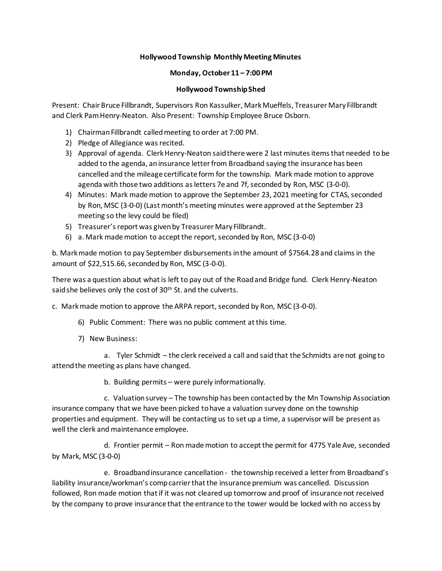## **Hollywood Township Monthly Meeting Minutes**

## **Monday, October 11 – 7:00 PM**

## **Hollywood Township Shed**

Present: Chair Bruce Fillbrandt, Supervisors Ron Kassulker, Mark Mueffels, Treasurer Mary Fillbrandt and Clerk Pam Henry-Neaton. Also Present: Township Employee Bruce Osborn.

- 1) Chairman Fillbrandt called meeting to order at 7:00 PM.
- 2) Pledge of Allegiance was recited.
- 3) Approval of agenda. Clerk Henry-Neaton said there were 2 last minutes items that needed to be added to the agenda, an insurance letter from Broadband saying the insurance has been cancelled and the mileage certificate form for the township. Mark made motion to approve agenda with those two additions as letters 7e and 7f, seconded by Ron, MSC (3-0-0).
- 4) Minutes: Mark made motion to approve the September 23, 2021 meeting for CTAS, seconded by Ron, MSC (3-0-0) (Last month's meeting minutes were approved at the September 23 meeting so the levy could be filed)
- 5) Treasurer's report was given by Treasurer Mary Fillbrandt.
- 6) a. Mark made motion to accept the report, seconded by Ron, MSC (3-0-0)

b. Mark made motion to pay September disbursements in the amount of \$7564.28 and claims in the amount of \$22,515.66, seconded by Ron, MSC (3-0-0).

There was a question about what is left to pay out of the Road and Bridge fund. Clerk Henry-Neaton said she believes only the cost of 30<sup>th</sup> St. and the culverts.

c. Mark made motion to approve the ARPA report, seconded by Ron, MSC (3-0-0).

- 6) Public Comment: There was no public comment at this time.
- 7) New Business:

a. Tyler Schmidt – the clerk received a call and said that the Schmidts are not going to attend the meeting as plans have changed.

b. Building permits – were purely informationally.

c. Valuation survey – The township has been contacted by the Mn Township Association insurance company that we have been picked to have a valuation survey done on the township properties and equipment. They will be contacting us to set up a time, a supervisor will be present as well the clerk and maintenance employee.

d. Frontier permit – Ron made motion to accept the permit for 4775 Yale Ave, seconded by Mark, MSC (3-0-0)

e. Broadband insurance cancellation - the township received a letter from Broadband's liability insurance/workman's comp carrier that the insurance premium was cancelled. Discussion followed, Ron made motion that if it was not cleared up tomorrow and proof of insurance not received by the company to prove insurance that the entrance to the tower would be locked with no access by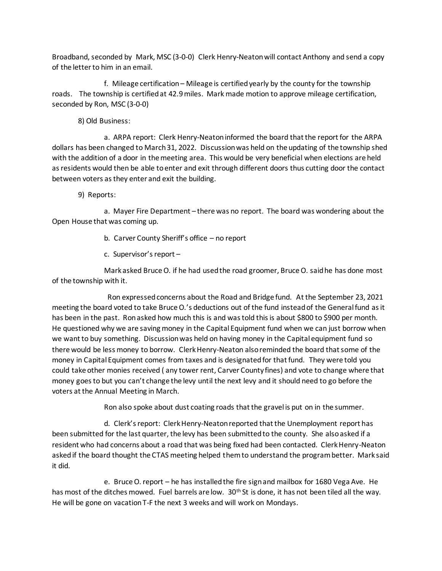Broadband, seconded by Mark, MSC (3-0-0) Clerk Henry-Neaton will contact Anthony and send a copy of the letter to him in an email.

 f. Mileage certification – Mileage is certified yearly by the county for the township roads. The township is certified at 42.9 miles. Mark made motion to approve mileage certification, seconded by Ron, MSC (3-0-0)

8) Old Business:

a. ARPA report: Clerk Henry-Neaton informed the board that the report for the ARPA dollars has been changed to March 31, 2022. Discussion was held on the updating of the township shed with the addition of a door in the meeting area. This would be very beneficial when elections are held as residents would then be able to enter and exit through different doors thus cutting door the contact between voters as they enter and exit the building.

9) Reports:

a. Mayer Fire Department – there was no report. The board was wondering about the Open House that was coming up.

- b. Carver County Sheriff's office no report
- c. Supervisor's report –

Mark asked Bruce O. if he had used the road groomer, Bruce O. said he has done most of the township with it.

 Ron expressed concerns about the Road and Bridge fund. At the September 23, 2021 meeting the board voted to take Bruce O.'s deductions out of the fund instead of the General fund as it has been in the past. Ron asked how much this is and was told this is about \$800 to \$900 per month. He questioned why we are saving money in the Capital Equipment fund when we can just borrow when we want to buy something. Discussion was held on having money in the Capital equipment fund so there would be less money to borrow. Clerk Henry-Neaton also reminded the board that some of the money in Capital Equipment comes from taxes and is designated for that fund. They were told you could take other monies received ( any tower rent, Carver County fines) and vote to change where that money goes to but you can't change the levy until the next levy and it should need to go before the voters at the Annual Meeting in March.

Ron also spoke about dust coating roads that the gravel is put on in the summer.

d. Clerk's report: Clerk Henry-Neaton reported that the Unemployment report has been submitted for the last quarter, the levy has been submitted to the county. She also asked if a resident who had concerns about a road that was being fixed had been contacted. Clerk Henry-Neaton asked if the board thought the CTAS meeting helped them to understand the program better. Mark said it did.

e. Bruce O. report – he has installed the fire sign and mailbox for 1680 Vega Ave. He has most of the ditches mowed. Fuel barrels are low. 30<sup>th</sup> St is done, it has not been tiled all the way. He will be gone on vacation T-F the next 3 weeks and will work on Mondays.